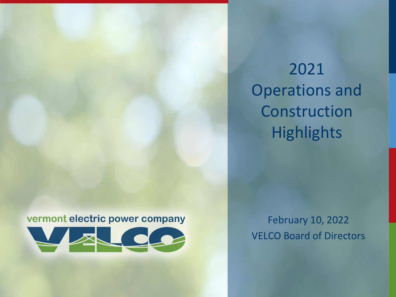2021 Operations and Construction **Highlights** 

#### vermont electric power company



February 10, 2022 VELCO Board of Directors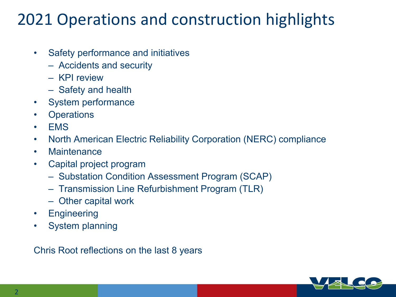## 2021 Operations and construction highlights

- Safety performance and initiatives
	- Accidents and security
	- KPI review
	- Safety and health
- System performance
- Operations
- EMS
- North American Electric Reliability Corporation (NERC) compliance
- Maintenance
- Capital project program
	- Substation Condition Assessment Program (SCAP)
	- Transmission Line Refurbishment Program (TLR)
	- Other capital work
- Engineering
- System planning

Chris Root reflections on the last 8 years

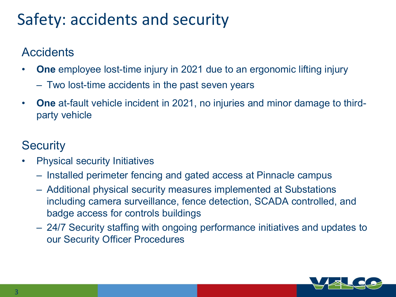## Safety: accidents and security

### **Accidents**

- **One** employee lost-time injury in 2021 due to an ergonomic lifting injury
	- Two lost-time accidents in the past seven years
- **One** at-fault vehicle incident in 2021, no injuries and minor damage to thirdparty vehicle

### **Security**

- Physical security Initiatives
	- Installed perimeter fencing and gated access at Pinnacle campus
	- Additional physical security measures implemented at Substations including camera surveillance, fence detection, SCADA controlled, and badge access for controls buildings
	- 24/7 Security staffing with ongoing performance initiatives and updates to our Security Officer Procedures

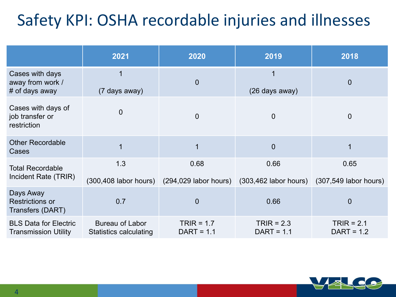# Safety KPI: OSHA recordable injuries and illnesses

|                                                             | 2021                                             | 2020                                                      | 2019                             | 2018                            |
|-------------------------------------------------------------|--------------------------------------------------|-----------------------------------------------------------|----------------------------------|---------------------------------|
| Cases with days<br>away from work /<br># of days away       | 1<br>(7 days away)                               | $\overline{0}$                                            | 1<br>(26 days away)              | $\overline{0}$                  |
| Cases with days of<br>job transfer or<br>restriction        | $\overline{0}$                                   | $\overline{0}$                                            | $\overline{0}$                   | 0                               |
| <b>Other Recordable</b><br>Cases                            | $\overline{1}$                                   |                                                           | $\overline{0}$                   |                                 |
| <b>Total Recordable</b><br>Incident Rate (TRIR)             | 1.3                                              | 0.68<br>$(300, 408$ labor hours) $(294, 029$ labor hours) | 0.66<br>$(303, 462$ labor hours) | 0.65<br>$(307,549$ labor hours) |
| Days Away<br><b>Restrictions or</b><br>Transfers (DART)     | 0.7                                              | $\overline{0}$                                            | 0.66                             | $\overline{0}$                  |
| <b>BLS Data for Electric</b><br><b>Transmission Utility</b> | Bureau of Labor<br><b>Statistics calculating</b> | TRIR = $1.7$<br>$DATA = 1.1$                              | $TRIR = 2.3$<br>$DATA = 1.1$     | $TRIR = 2.1$<br>$DATA = 1.2$    |

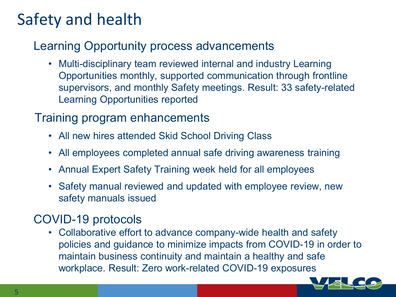## Safety and health

### Learning Opportunity process advancements

• Multi-disciplinary team reviewed internal and industry Learning Opportunities monthly, supported communication through frontline supervisors, and monthly Safety meetings. Result: 33 safety-related Learning Opportunities reported

### Training program enhancements

- All new hires attended Skid School Driving Class
- All employees completed annual safe driving awareness training
- Annual Expert Safety Training week held for all employees
- Safety manual reviewed and updated with employee review, new safety manuals issued

### COVID-19 protocols

• Collaborative effort to advance company-wide health and safety policies and guidance to minimize impacts from COVID-19 in order to maintain business continuity and maintain a healthy and safe workplace. Result: Zero work-related COVID-19 exposures

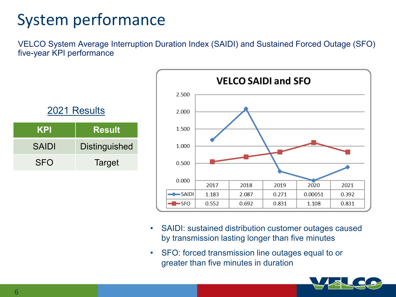# System performance

VELCO System Average Interruption Duration Index (SAIDI) and Sustained Forced Outage (SFO) five-year KPI performance

| 2021 Results |                      |  |  |
|--------------|----------------------|--|--|
| <b>KPI</b>   | <b>Result</b>        |  |  |
| <b>SAIDI</b> | <b>Distinguished</b> |  |  |
| <b>SFO</b>   | Target               |  |  |



- SAIDI: sustained distribution customer outages caused by transmission lasting longer than five minutes
- SFO: forced transmission line outages equal to or greater than five minutes in duration

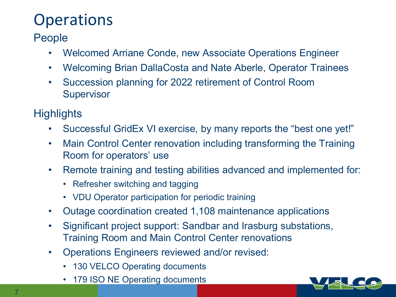# **Operations**

People

- Welcomed Arriane Conde, new Associate Operations Engineer
- Welcoming Brian DallaCosta and Nate Aberle, Operator Trainees
- Succession planning for 2022 retirement of Control Room **Supervisor**

- Successful GridEx VI exercise, by many reports the "best one yet!"
- Main Control Center renovation including transforming the Training Room for operators' use
- Remote training and testing abilities advanced and implemented for:
	- Refresher switching and tagging
	- VDU Operator participation for periodic training
- Outage coordination created 1,108 maintenance applications
- Significant project support: Sandbar and Irasburg substations, Training Room and Main Control Center renovations
- Operations Engineers reviewed and/or revised:
	- 130 VELCO Operating documents
	- 179 ISO NE Operating documents

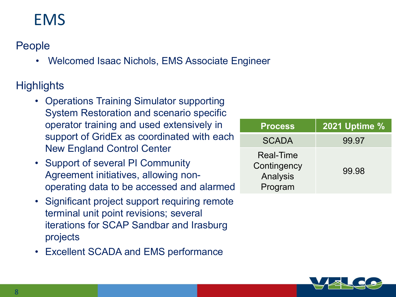## EMS

People

• Welcomed Isaac Nichols, EMS Associate Engineer

- Operations Training Simulator supporting System Restoration and scenario specific operator training and used extensively in support of GridEx as coordinated with each New England Control Center
- Support of several PI Community Agreement initiatives, allowing nonoperating data to be accessed and alarmed
- Significant project support requiring remote terminal unit point revisions; several iterations for SCAP Sandbar and Irasburg projects
- Excellent SCADA and EMS performance

| <b>Process</b>                                         | <b>2021 Uptime %</b> |
|--------------------------------------------------------|----------------------|
| <b>SCADA</b>                                           | 99.97                |
| <b>Real-Time</b><br>Contingency<br>Analysis<br>Program | 99.98                |

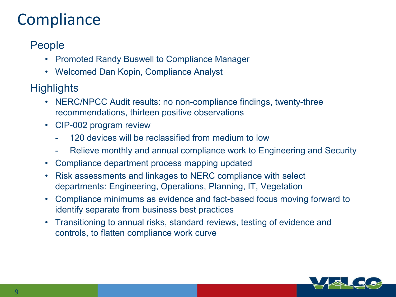## **Compliance**

#### People

- Promoted Randy Buswell to Compliance Manager
- Welcomed Dan Kopin, Compliance Analyst

- NERC/NPCC Audit results: no non-compliance findings, twenty-three recommendations, thirteen positive observations
- CIP-002 program review
	- 120 devices will be reclassified from medium to low
	- Relieve monthly and annual compliance work to Engineering and Security
- Compliance department process mapping updated
- Risk assessments and linkages to NERC compliance with select departments: Engineering, Operations, Planning, IT, Vegetation
- Compliance minimums as evidence and fact-based focus moving forward to identify separate from business best practices
- Transitioning to annual risks, standard reviews, testing of evidence and controls, to flatten compliance work curve

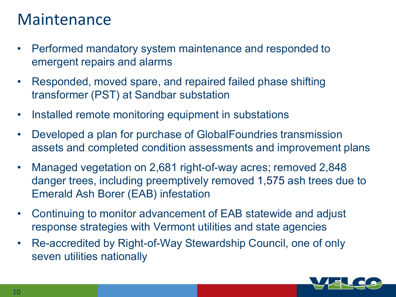### Maintenance

- Performed mandatory system maintenance and responded to emergent repairs and alarms
- Responded, moved spare, and repaired failed phase shifting transformer (PST) at Sandbar substation
- Installed remote monitoring equipment in substations
- Developed a plan for purchase of GlobalFoundries transmission assets and completed condition assessments and improvement plans
- Managed vegetation on 2,681 right-of-way acres; removed 2,848 danger trees, including preemptively removed 1,575 ash trees due to Emerald Ash Borer (EAB) infestation
- Continuing to monitor advancement of EAB statewide and adjust response strategies with Vermont utilities and state agencies
- Re-accredited by Right-of-Way Stewardship Council, one of only seven utilities nationally

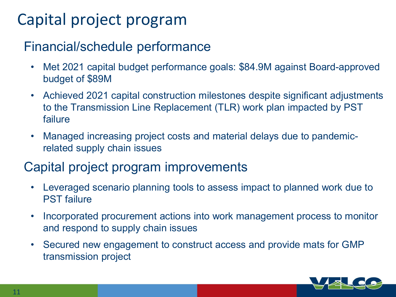# Capital project program

### Financial/schedule performance

- Met 2021 capital budget performance goals: \$84.9M against Board-approved budget of \$89M
- Achieved 2021 capital construction milestones despite significant adjustments to the Transmission Line Replacement (TLR) work plan impacted by PST failure
- Managed increasing project costs and material delays due to pandemicrelated supply chain issues

### Capital project program improvements

- Leveraged scenario planning tools to assess impact to planned work due to PST failure
- Incorporated procurement actions into work management process to monitor and respond to supply chain issues
- Secured new engagement to construct access and provide mats for GMP transmission project

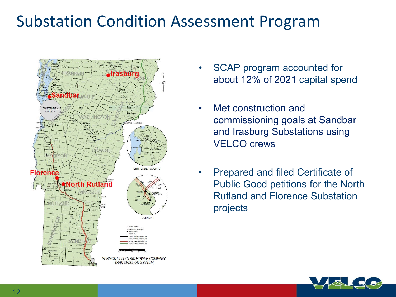## Substation Condition Assessment Program



- SCAP program accounted for about 12% of 2021 capital spend
- Met construction and commissioning goals at Sandbar and Irasburg Substations using VELCO crews
- Prepared and filed Certificate of Public Good petitions for the North Rutland and Florence Substation projects

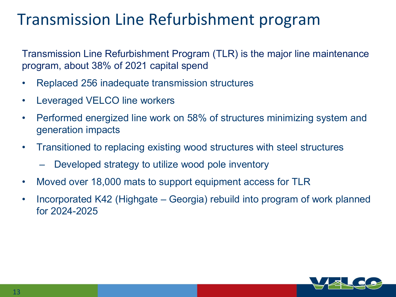## Transmission Line Refurbishment program

Transmission Line Refurbishment Program (TLR) is the major line maintenance program, about 38% of 2021 capital spend

- Replaced 256 inadequate transmission structures
- Leveraged VELCO line workers
- Performed energized line work on 58% of structures minimizing system and generation impacts
- Transitioned to replacing existing wood structures with steel structures
	- Developed strategy to utilize wood pole inventory
- Moved over 18,000 mats to support equipment access for TLR
- Incorporated K42 (Highgate Georgia) rebuild into program of work planned for 2024-2025

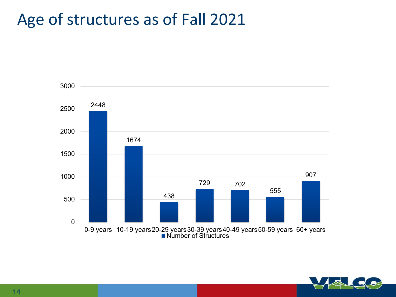## Age of structures as of Fall 2021



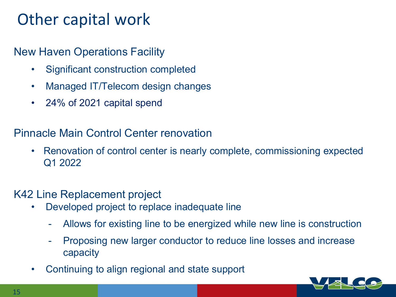### Other capital work

#### New Haven Operations Facility

- Significant construction completed
- Managed IT/Telecom design changes
- 24% of 2021 capital spend

#### Pinnacle Main Control Center renovation

• Renovation of control center is nearly complete, commissioning expected Q1 2022

#### K42 Line Replacement project

- Developed project to replace inadequate line
	- Allows for existing line to be energized while new line is construction
	- Proposing new larger conductor to reduce line losses and increase capacity
- Continuing to align regional and state support

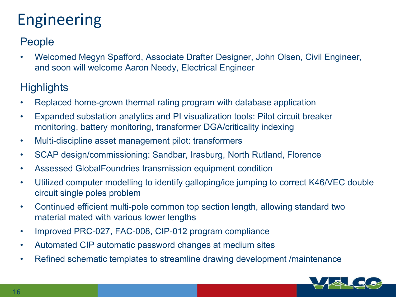# Engineering

#### People

• Welcomed Megyn Spafford, Associate Drafter Designer, John Olsen, Civil Engineer, and soon will welcome Aaron Needy, Electrical Engineer

- Replaced home-grown thermal rating program with database application
- Expanded substation analytics and PI visualization tools: Pilot circuit breaker monitoring, battery monitoring, transformer DGA/criticality indexing
- Multi-discipline asset management pilot: transformers
- SCAP design/commissioning: Sandbar, Irasburg, North Rutland, Florence
- Assessed GlobalFoundries transmission equipment condition
- Utilized computer modelling to identify galloping/ice jumping to correct K46/VEC double circuit single poles problem
- Continued efficient multi-pole common top section length, allowing standard two material mated with various lower lengths
- Improved PRC-027, FAC-008, CIP-012 program compliance
- Automated CIP automatic password changes at medium sites
- Refined schematic templates to streamline drawing development /maintenance

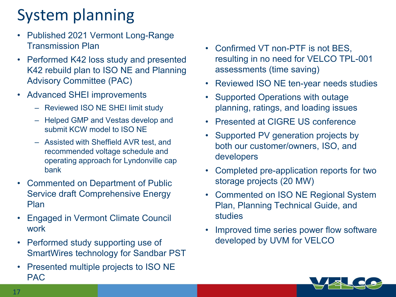# System planning

- Published 2021 Vermont Long-Range Transmission Plan
- Performed K42 loss study and presented K42 rebuild plan to ISO NE and Planning Advisory Committee (PAC)
- Advanced SHEI improvements
	- Reviewed ISO NE SHEI limit study
	- Helped GMP and Vestas develop and submit KCW model to ISO NE
	- Assisted with Sheffield AVR test, and recommended voltage schedule and operating approach for Lyndonville cap bank
- Commented on Department of Public Service draft Comprehensive Energy Plan
- Engaged in Vermont Climate Council work
- Performed study supporting use of SmartWires technology for Sandbar PST
- Presented multiple projects to ISO NE PAC
- Confirmed VT non-PTF is not BES, resulting in no need for VELCO TPL-001 assessments (time saving)
- Reviewed ISO NE ten-year needs studies
- Supported Operations with outage planning, ratings, and loading issues
- Presented at CIGRE US conference
- Supported PV generation projects by both our customer/owners, ISO, and developers
- Completed pre-application reports for two storage projects (20 MW)
- Commented on ISO NE Regional System Plan, Planning Technical Guide, and studies
- Improved time series power flow software developed by UVM for VELCO

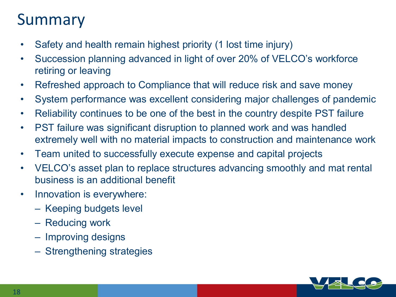## Summary

- Safety and health remain highest priority (1 lost time injury)
- Succession planning advanced in light of over 20% of VELCO's workforce retiring or leaving
- Refreshed approach to Compliance that will reduce risk and save money
- System performance was excellent considering major challenges of pandemic
- Reliability continues to be one of the best in the country despite PST failure
- PST failure was significant disruption to planned work and was handled extremely well with no material impacts to construction and maintenance work
- Team united to successfully execute expense and capital projects
- VELCO's asset plan to replace structures advancing smoothly and mat rental business is an additional benefit
- Innovation is everywhere:
	- Keeping budgets level
	- Reducing work
	- Improving designs
	- Strengthening strategies